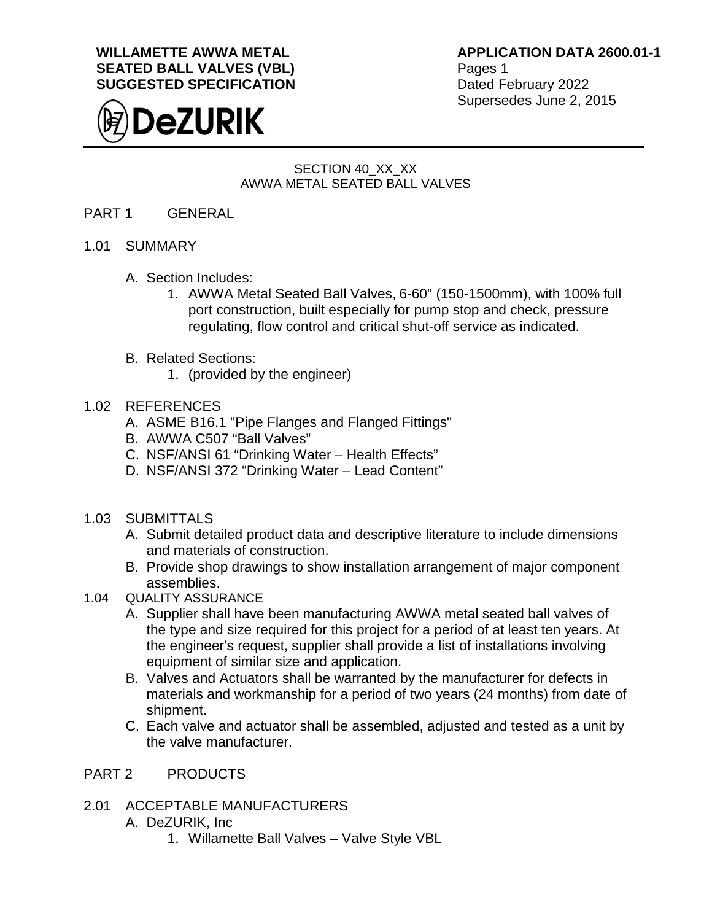**WILLAMETTE AWWA METAL SEATED BALL VALVES (VBL) SUGGESTED SPECIFICATION**



**APPLICATION DATA 2600.01-1** Pages 1 Dated February 2022 Supersedes June 2, 2015

# SECTION 40\_XX\_XX AWWA METAL SEATED BALL VALVES

- PART 1 GENERAL
- 1.01 SUMMARY
	- A. Section Includes:
		- 1. AWWA Metal Seated Ball Valves, 6-60" (150-1500mm), with 100% full port construction, built especially for pump stop and check, pressure regulating, flow control and critical shut-off service as indicated.
	- B. Related Sections:
		- 1. (provided by the engineer)

#### 1.02 REFERENCES

- A. ASME B16.1 "Pipe Flanges and Flanged Fittings"
- B. AWWA C507 "Ball Valves"
- C. NSF/ANSI 61 "Drinking Water Health Effects"
- D. NSF/ANSI 372 "Drinking Water Lead Content"
- 1.03 SUBMITTALS
	- A. Submit detailed product data and descriptive literature to include dimensions and materials of construction.
	- B. Provide shop drawings to show installation arrangement of major component assemblies.
- 1.04 QUALITY ASSURANCE
	- A. Supplier shall have been manufacturing AWWA metal seated ball valves of the type and size required for this project for a period of at least ten years. At the engineer's request, supplier shall provide a list of installations involving equipment of similar size and application.
	- B. Valves and Actuators shall be warranted by the manufacturer for defects in materials and workmanship for a period of two years (24 months) from date of shipment.
	- C. Each valve and actuator shall be assembled, adjusted and tested as a unit by the valve manufacturer.

## PART 2 PRODUCTS

- 2.01 ACCEPTABLE MANUFACTURERS
	- A. DeZURIK, Inc
		- 1. Willamette Ball Valves Valve Style VBL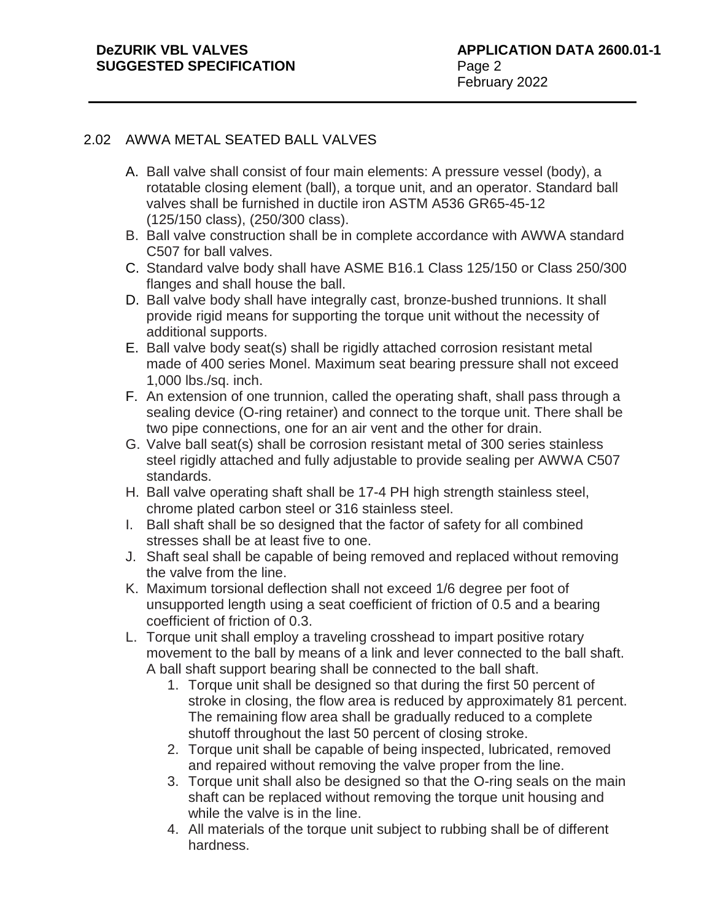### **DeZURIK VBL VALVES SUGGESTED SPECIFICATION**

# 2.02 AWWA METAL SEATED BALL VALVES

- A. Ball valve shall consist of four main elements: A pressure vessel (body), a rotatable closing element (ball), a torque unit, and an operator. Standard ball valves shall be furnished in ductile iron ASTM A536 GR65-45-12 (125/150 class), (250/300 class).
- B. Ball valve construction shall be in complete accordance with AWWA standard C507 for ball valves.
- C. Standard valve body shall have ASME B16.1 Class 125/150 or Class 250/300 flanges and shall house the ball.
- D. Ball valve body shall have integrally cast, bronze-bushed trunnions. It shall provide rigid means for supporting the torque unit without the necessity of additional supports.
- E. Ball valve body seat(s) shall be rigidly attached corrosion resistant metal made of 400 series Monel. Maximum seat bearing pressure shall not exceed 1,000 lbs./sq. inch.
- F. An extension of one trunnion, called the operating shaft, shall pass through a sealing device (O-ring retainer) and connect to the torque unit. There shall be two pipe connections, one for an air vent and the other for drain.
- G. Valve ball seat(s) shall be corrosion resistant metal of 300 series stainless steel rigidly attached and fully adjustable to provide sealing per AWWA C507 standards.
- H. Ball valve operating shaft shall be 17-4 PH high strength stainless steel, chrome plated carbon steel or 316 stainless steel.
- I. Ball shaft shall be so designed that the factor of safety for all combined stresses shall be at least five to one.
- J. Shaft seal shall be capable of being removed and replaced without removing the valve from the line.
- K. Maximum torsional deflection shall not exceed 1/6 degree per foot of unsupported length using a seat coefficient of friction of 0.5 and a bearing coefficient of friction of 0.3.
- L. Torque unit shall employ a traveling crosshead to impart positive rotary movement to the ball by means of a link and lever connected to the ball shaft. A ball shaft support bearing shall be connected to the ball shaft.
	- 1. Torque unit shall be designed so that during the first 50 percent of stroke in closing, the flow area is reduced by approximately 81 percent. The remaining flow area shall be gradually reduced to a complete shutoff throughout the last 50 percent of closing stroke.
	- 2. Torque unit shall be capable of being inspected, lubricated, removed and repaired without removing the valve proper from the line.
	- 3. Torque unit shall also be designed so that the O-ring seals on the main shaft can be replaced without removing the torque unit housing and while the valve is in the line.
	- 4. All materials of the torque unit subject to rubbing shall be of different hardness.